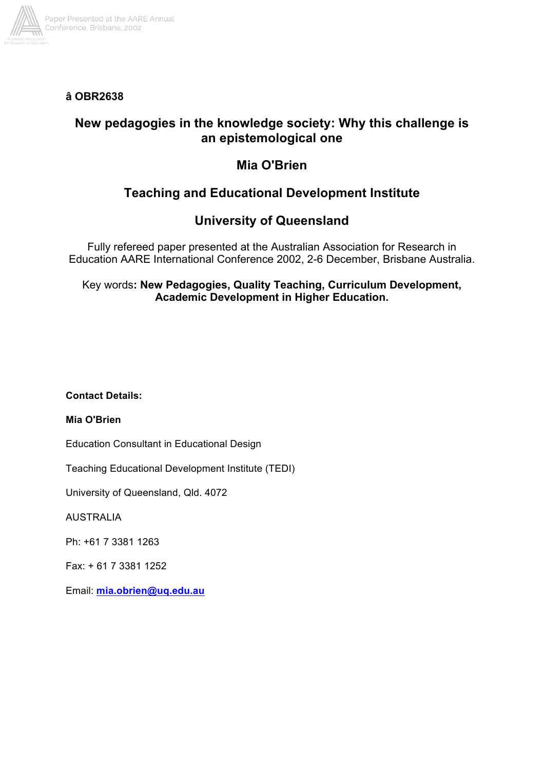

**â OBR2638**

## **New pedagogies in the knowledge society: Why this challenge is an epistemological one**

# **Mia O'Brien**

# **Teaching and Educational Development Institute**

## **University of Queensland**

Fully refereed paper presented at the Australian Association for Research in Education AARE International Conference 2002, 2-6 December, Brisbane Australia.

## Key words**: New Pedagogies, Quality Teaching, Curriculum Development, Academic Development in Higher Education.**

## **Contact Details:**

### **Mia O'Brien**

Education Consultant in Educational Design

Teaching Educational Development Institute (TEDI)

University of Queensland, Qld. 4072

AUSTRALIA

Ph: +61 7 3381 1263

Fax: + 61 7 3381 1252

Email: **mia.obrien@uq.edu.au**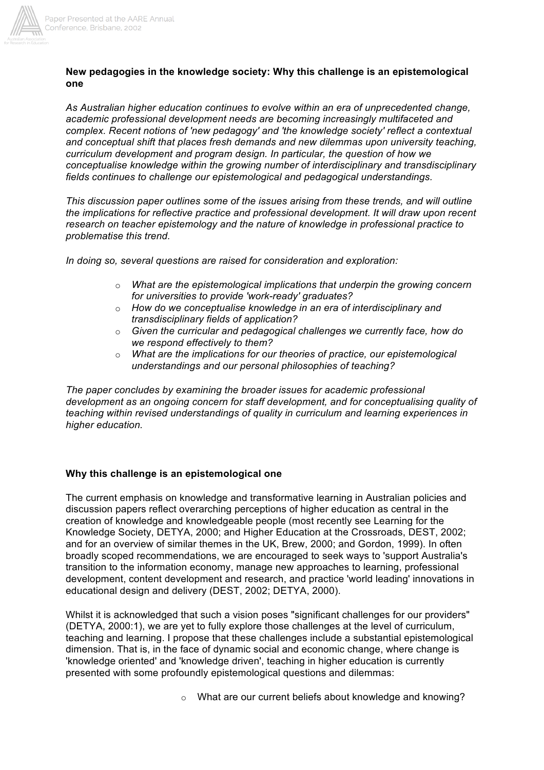

#### **New pedagogies in the knowledge society: Why this challenge is an epistemological one**

*As Australian higher education continues to evolve within an era of unprecedented change, academic professional development needs are becoming increasingly multifaceted and complex. Recent notions of 'new pedagogy' and 'the knowledge society' reflect a contextual and conceptual shift that places fresh demands and new dilemmas upon university teaching, curriculum development and program design. In particular, the question of how we conceptualise knowledge within the growing number of interdisciplinary and transdisciplinary fields continues to challenge our epistemological and pedagogical understandings.*

*This discussion paper outlines some of the issues arising from these trends, and will outline the implications for reflective practice and professional development. It will draw upon recent research on teacher epistemology and the nature of knowledge in professional practice to problematise this trend.*

*In doing so, several questions are raised for consideration and exploration:*

- o *What are the epistemological implications that underpin the growing concern for universities to provide 'work-ready' graduates?*
- o *How do we conceptualise knowledge in an era of interdisciplinary and transdisciplinary fields of application?*
- o *Given the curricular and pedagogical challenges we currently face, how do we respond effectively to them?*
- o *What are the implications for our theories of practice, our epistemological understandings and our personal philosophies of teaching?*

*The paper concludes by examining the broader issues for academic professional development as an ongoing concern for staff development, and for conceptualising quality of teaching within revised understandings of quality in curriculum and learning experiences in higher education.*

#### **Why this challenge is an epistemological one**

The current emphasis on knowledge and transformative learning in Australian policies and discussion papers reflect overarching perceptions of higher education as central in the creation of knowledge and knowledgeable people (most recently see Learning for the Knowledge Society, DETYA, 2000; and Higher Education at the Crossroads, DEST, 2002; and for an overview of similar themes in the UK, Brew, 2000; and Gordon, 1999). In often broadly scoped recommendations, we are encouraged to seek ways to 'support Australia's transition to the information economy, manage new approaches to learning, professional development, content development and research, and practice 'world leading' innovations in educational design and delivery (DEST, 2002; DETYA, 2000).

Whilst it is acknowledged that such a vision poses "significant challenges for our providers" (DETYA, 2000:1), we are yet to fully explore those challenges at the level of curriculum, teaching and learning. I propose that these challenges include a substantial epistemological dimension. That is, in the face of dynamic social and economic change, where change is 'knowledge oriented' and 'knowledge driven', teaching in higher education is currently presented with some profoundly epistemological questions and dilemmas:

```
o What are our current beliefs about knowledge and knowing?
```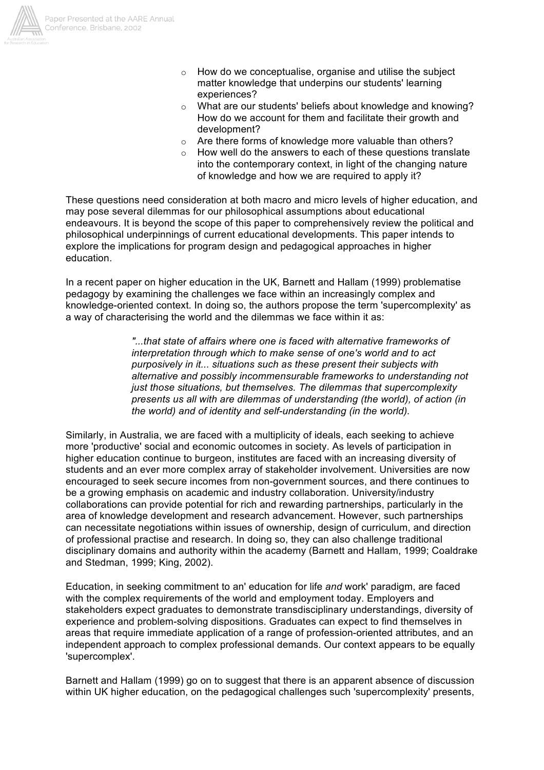

- o How do we conceptualise, organise and utilise the subject matter knowledge that underpins our students' learning experiences?
- o What are our students' beliefs about knowledge and knowing? How do we account for them and facilitate their growth and development?
- o Are there forms of knowledge more valuable than others?
- o How well do the answers to each of these questions translate into the contemporary context, in light of the changing nature of knowledge and how we are required to apply it?

These questions need consideration at both macro and micro levels of higher education, and may pose several dilemmas for our philosophical assumptions about educational endeavours. It is beyond the scope of this paper to comprehensively review the political and philosophical underpinnings of current educational developments. This paper intends to explore the implications for program design and pedagogical approaches in higher education.

In a recent paper on higher education in the UK, Barnett and Hallam (1999) problematise pedagogy by examining the challenges we face within an increasingly complex and knowledge-oriented context. In doing so, the authors propose the term 'supercomplexity' as a way of characterising the world and the dilemmas we face within it as:

> *"...that state of affairs where one is faced with alternative frameworks of interpretation through which to make sense of one's world and to act purposively in it... situations such as these present their subjects with alternative and possibly incommensurable frameworks to understanding not just those situations, but themselves. The dilemmas that supercomplexity presents us all with are dilemmas of understanding (the world), of action (in the world) and of identity and self-understanding (in the world).*

Similarly, in Australia, we are faced with a multiplicity of ideals, each seeking to achieve more 'productive' social and economic outcomes in society. As levels of participation in higher education continue to burgeon, institutes are faced with an increasing diversity of students and an ever more complex array of stakeholder involvement. Universities are now encouraged to seek secure incomes from non-government sources, and there continues to be a growing emphasis on academic and industry collaboration. University/industry collaborations can provide potential for rich and rewarding partnerships, particularly in the area of knowledge development and research advancement. However, such partnerships can necessitate negotiations within issues of ownership, design of curriculum, and direction of professional practise and research. In doing so, they can also challenge traditional disciplinary domains and authority within the academy (Barnett and Hallam, 1999; Coaldrake and Stedman, 1999; King, 2002).

Education, in seeking commitment to an' education for life *and* work' paradigm, are faced with the complex requirements of the world and employment today. Employers and stakeholders expect graduates to demonstrate transdisciplinary understandings, diversity of experience and problem-solving dispositions. Graduates can expect to find themselves in areas that require immediate application of a range of profession-oriented attributes, and an independent approach to complex professional demands. Our context appears to be equally 'supercomplex'.

Barnett and Hallam (1999) go on to suggest that there is an apparent absence of discussion within UK higher education, on the pedagogical challenges such 'supercomplexity' presents,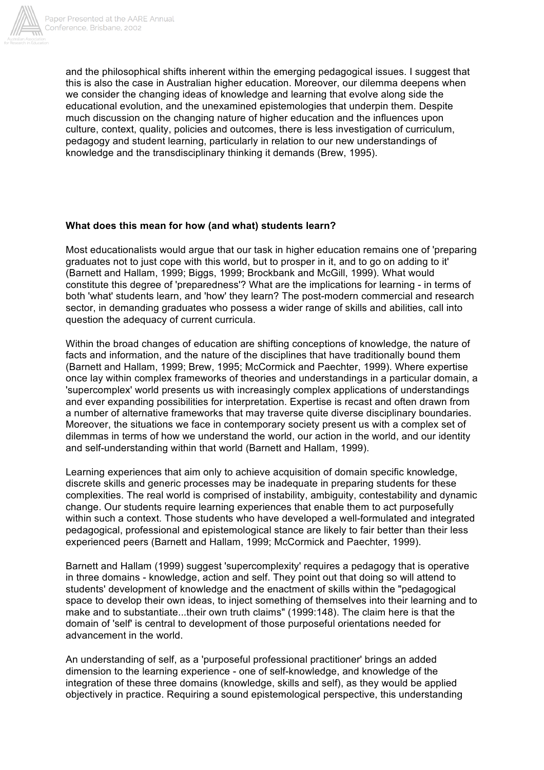

and the philosophical shifts inherent within the emerging pedagogical issues. I suggest that this is also the case in Australian higher education. Moreover, our dilemma deepens when we consider the changing ideas of knowledge and learning that evolve along side the educational evolution, and the unexamined epistemologies that underpin them. Despite much discussion on the changing nature of higher education and the influences upon culture, context, quality, policies and outcomes, there is less investigation of curriculum, pedagogy and student learning, particularly in relation to our new understandings of knowledge and the transdisciplinary thinking it demands (Brew, 1995).

#### **What does this mean for how (and what) students learn?**

Most educationalists would argue that our task in higher education remains one of 'preparing graduates not to just cope with this world, but to prosper in it, and to go on adding to it' (Barnett and Hallam, 1999; Biggs, 1999; Brockbank and McGill, 1999). What would constitute this degree of 'preparedness'? What are the implications for learning - in terms of both 'what' students learn, and 'how' they learn? The post-modern commercial and research sector, in demanding graduates who possess a wider range of skills and abilities, call into question the adequacy of current curricula.

Within the broad changes of education are shifting conceptions of knowledge, the nature of facts and information, and the nature of the disciplines that have traditionally bound them (Barnett and Hallam, 1999; Brew, 1995; McCormick and Paechter, 1999). Where expertise once lay within complex frameworks of theories and understandings in a particular domain, a 'supercomplex' world presents us with increasingly complex applications of understandings and ever expanding possibilities for interpretation. Expertise is recast and often drawn from a number of alternative frameworks that may traverse quite diverse disciplinary boundaries. Moreover, the situations we face in contemporary society present us with a complex set of dilemmas in terms of how we understand the world, our action in the world, and our identity and self-understanding within that world (Barnett and Hallam, 1999).

Learning experiences that aim only to achieve acquisition of domain specific knowledge, discrete skills and generic processes may be inadequate in preparing students for these complexities. The real world is comprised of instability, ambiguity, contestability and dynamic change. Our students require learning experiences that enable them to act purposefully within such a context. Those students who have developed a well-formulated and integrated pedagogical, professional and epistemological stance are likely to fair better than their less experienced peers (Barnett and Hallam, 1999; McCormick and Paechter, 1999).

Barnett and Hallam (1999) suggest 'supercomplexity' requires a pedagogy that is operative in three domains - knowledge, action and self. They point out that doing so will attend to students' development of knowledge and the enactment of skills within the "pedagogical space to develop their own ideas, to inject something of themselves into their learning and to make and to substantiate...their own truth claims" (1999:148). The claim here is that the domain of 'self' is central to development of those purposeful orientations needed for advancement in the world.

An understanding of self, as a 'purposeful professional practitioner' brings an added dimension to the learning experience - one of self-knowledge, and knowledge of the integration of these three domains (knowledge, skills and self), as they would be applied objectively in practice. Requiring a sound epistemological perspective, this understanding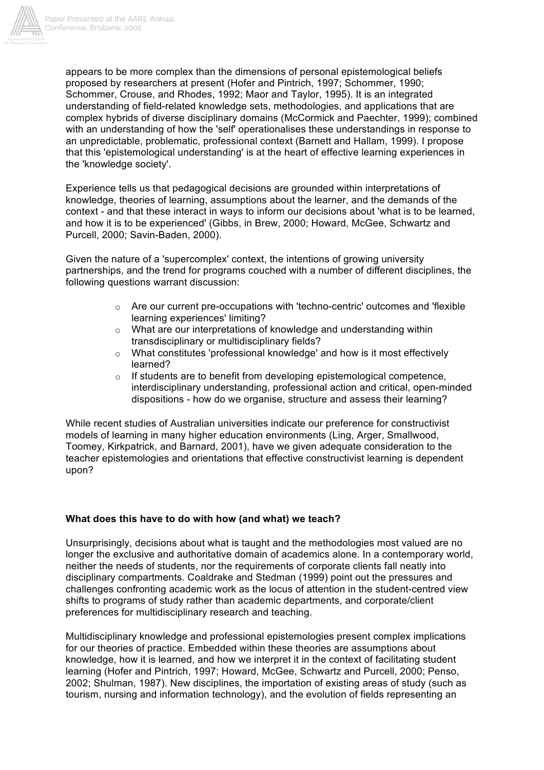

appears to be more complex than the dimensions of personal epistemological beliefs proposed by researchers at present (Hofer and Pintrich, 1997; Schommer, 1990; Schommer, Crouse, and Rhodes, 1992; Maor and Taylor, 1995). It is an integrated understanding of field-related knowledge sets, methodologies, and applications that are complex hybrids of diverse disciplinary domains (McCormick and Paechter, 1999); combined with an understanding of how the 'self' operationalises these understandings in response to an unpredictable, problematic, professional context (Barnett and Hallam, 1999). I propose that this 'epistemological understanding' is at the heart of effective learning experiences in the 'knowledge society'.

Experience tells us that pedagogical decisions are grounded within interpretations of knowledge, theories of learning, assumptions about the learner, and the demands of the context - and that these interact in ways to inform our decisions about 'what is to be learned, and how it is to be experienced' (Gibbs, in Brew, 2000; Howard, McGee, Schwartz and Purcell, 2000; Savin-Baden, 2000).

Given the nature of a 'supercomplex' context, the intentions of growing university partnerships, and the trend for programs couched with a number of different disciplines, the following questions warrant discussion:

- $\circ$  Are our current pre-occupations with 'techno-centric' outcomes and 'flexible learning experiences' limiting?
- o What are our interpretations of knowledge and understanding within transdisciplinary or multidisciplinary fields?
- o What constitutes 'professional knowledge' and how is it most effectively learned?
- o If students are to benefit from developing epistemological competence, interdisciplinary understanding, professional action and critical, open-minded dispositions - how do we organise, structure and assess their learning?

While recent studies of Australian universities indicate our preference for constructivist models of learning in many higher education environments (Ling, Arger, Smallwood, Toomey, Kirkpatrick, and Barnard, 2001), have we given adequate consideration to the teacher epistemologies and orientations that effective constructivist learning is dependent upon?

#### **What does this have to do with how (and what) we teach?**

Unsurprisingly, decisions about what is taught and the methodologies most valued are no longer the exclusive and authoritative domain of academics alone. In a contemporary world, neither the needs of students, nor the requirements of corporate clients fall neatly into disciplinary compartments. Coaldrake and Stedman (1999) point out the pressures and challenges confronting academic work as the locus of attention in the student-centred view shifts to programs of study rather than academic departments, and corporate/client preferences for multidisciplinary research and teaching.

Multidisciplinary knowledge and professional epistemologies present complex implications for our theories of practice. Embedded within these theories are assumptions about knowledge, how it is learned, and how we interpret it in the context of facilitating student learning (Hofer and Pintrich, 1997; Howard, McGee, Schwartz and Purcell, 2000; Penso, 2002; Shulman, 1987). New disciplines, the importation of existing areas of study (such as tourism, nursing and information technology), and the evolution of fields representing an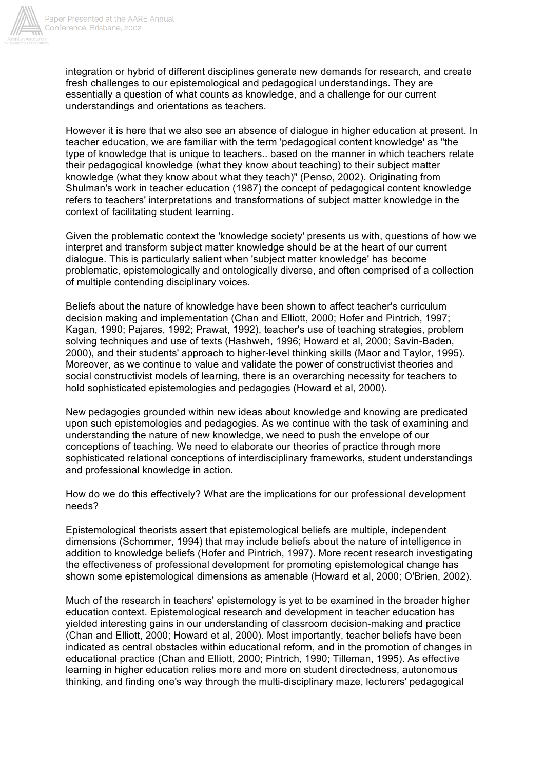

integration or hybrid of different disciplines generate new demands for research, and create fresh challenges to our epistemological and pedagogical understandings. They are essentially a question of what counts as knowledge, and a challenge for our current understandings and orientations as teachers.

However it is here that we also see an absence of dialogue in higher education at present. In teacher education, we are familiar with the term 'pedagogical content knowledge' as "the type of knowledge that is unique to teachers.. based on the manner in which teachers relate their pedagogical knowledge (what they know about teaching) to their subject matter knowledge (what they know about what they teach)" (Penso, 2002). Originating from Shulman's work in teacher education (1987) the concept of pedagogical content knowledge refers to teachers' interpretations and transformations of subject matter knowledge in the context of facilitating student learning.

Given the problematic context the 'knowledge society' presents us with, questions of how we interpret and transform subject matter knowledge should be at the heart of our current dialogue. This is particularly salient when 'subject matter knowledge' has become problematic, epistemologically and ontologically diverse, and often comprised of a collection of multiple contending disciplinary voices.

Beliefs about the nature of knowledge have been shown to affect teacher's curriculum decision making and implementation (Chan and Elliott, 2000; Hofer and Pintrich, 1997; Kagan, 1990; Pajares, 1992; Prawat, 1992), teacher's use of teaching strategies, problem solving techniques and use of texts (Hashweh, 1996; Howard et al, 2000; Savin-Baden, 2000), and their students' approach to higher-level thinking skills (Maor and Taylor, 1995). Moreover, as we continue to value and validate the power of constructivist theories and social constructivist models of learning, there is an overarching necessity for teachers to hold sophisticated epistemologies and pedagogies (Howard et al, 2000).

New pedagogies grounded within new ideas about knowledge and knowing are predicated upon such epistemologies and pedagogies. As we continue with the task of examining and understanding the nature of new knowledge, we need to push the envelope of our conceptions of teaching. We need to elaborate our theories of practice through more sophisticated relational conceptions of interdisciplinary frameworks, student understandings and professional knowledge in action.

How do we do this effectively? What are the implications for our professional development needs?

Epistemological theorists assert that epistemological beliefs are multiple, independent dimensions (Schommer, 1994) that may include beliefs about the nature of intelligence in addition to knowledge beliefs (Hofer and Pintrich, 1997). More recent research investigating the effectiveness of professional development for promoting epistemological change has shown some epistemological dimensions as amenable (Howard et al, 2000; O'Brien, 2002).

Much of the research in teachers' epistemology is yet to be examined in the broader higher education context. Epistemological research and development in teacher education has yielded interesting gains in our understanding of classroom decision-making and practice (Chan and Elliott, 2000; Howard et al, 2000). Most importantly, teacher beliefs have been indicated as central obstacles within educational reform, and in the promotion of changes in educational practice (Chan and Elliott, 2000; Pintrich, 1990; Tilleman, 1995). As effective learning in higher education relies more and more on student directedness, autonomous thinking, and finding one's way through the multi-disciplinary maze, lecturers' pedagogical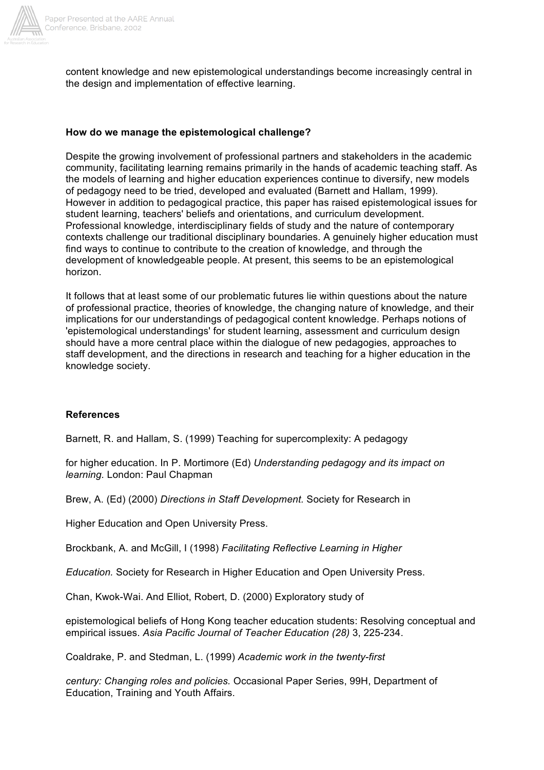

content knowledge and new epistemological understandings become increasingly central in the design and implementation of effective learning.

#### **How do we manage the epistemological challenge?**

Despite the growing involvement of professional partners and stakeholders in the academic community, facilitating learning remains primarily in the hands of academic teaching staff. As the models of learning and higher education experiences continue to diversify, new models of pedagogy need to be tried, developed and evaluated (Barnett and Hallam, 1999). However in addition to pedagogical practice, this paper has raised epistemological issues for student learning, teachers' beliefs and orientations, and curriculum development. Professional knowledge, interdisciplinary fields of study and the nature of contemporary contexts challenge our traditional disciplinary boundaries. A genuinely higher education must find ways to continue to contribute to the creation of knowledge, and through the development of knowledgeable people. At present, this seems to be an epistemological horizon.

It follows that at least some of our problematic futures lie within questions about the nature of professional practice, theories of knowledge, the changing nature of knowledge, and their implications for our understandings of pedagogical content knowledge. Perhaps notions of 'epistemological understandings' for student learning, assessment and curriculum design should have a more central place within the dialogue of new pedagogies, approaches to staff development, and the directions in research and teaching for a higher education in the knowledge society.

#### **References**

Barnett, R. and Hallam, S. (1999) Teaching for supercomplexity: A pedagogy

for higher education. In P. Mortimore (Ed) *Understanding pedagogy and its impact on learning.* London: Paul Chapman

Brew, A. (Ed) (2000) *Directions in Staff Development.* Society for Research in

Higher Education and Open University Press.

Brockbank, A. and McGill, I (1998) *Facilitating Reflective Learning in Higher*

*Education.* Society for Research in Higher Education and Open University Press.

Chan, Kwok-Wai. And Elliot, Robert, D. (2000) Exploratory study of

epistemological beliefs of Hong Kong teacher education students: Resolving conceptual and empirical issues. *Asia Pacific Journal of Teacher Education (28)* 3, 225-234.

Coaldrake, P. and Stedman, L. (1999) *Academic work in the twenty-first*

*century: Changing roles and policies.* Occasional Paper Series, 99H, Department of Education, Training and Youth Affairs.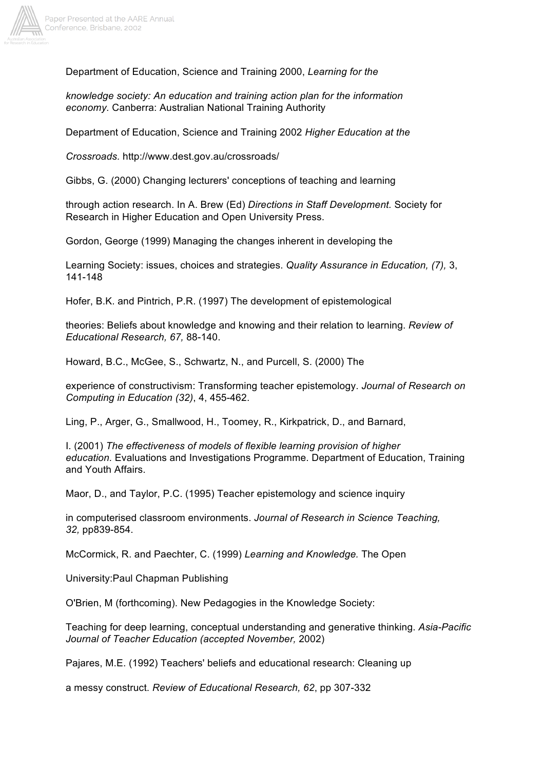

Department of Education, Science and Training 2000, *Learning for the*

*knowledge society: An education and training action plan for the information economy.* Canberra: Australian National Training Authority

Department of Education, Science and Training 2002 *Higher Education at the*

*Crossroads.* http://www.dest.gov.au/crossroads/

Gibbs, G. (2000) Changing lecturers' conceptions of teaching and learning

through action research. In A. Brew (Ed) *Directions in Staff Development.* Society for Research in Higher Education and Open University Press.

Gordon, George (1999) Managing the changes inherent in developing the

Learning Society: issues, choices and strategies. *Quality Assurance in Education, (7),* 3, 141-148

Hofer, B.K. and Pintrich, P.R. (1997) The development of epistemological

theories: Beliefs about knowledge and knowing and their relation to learning. *Review of Educational Research, 67,* 88-140.

Howard, B.C., McGee, S., Schwartz, N., and Purcell, S. (2000) The

experience of constructivism: Transforming teacher epistemology. *Journal of Research on Computing in Education (32)*, 4, 455-462.

Ling, P., Arger, G., Smallwood, H., Toomey, R., Kirkpatrick, D., and Barnard,

I. (2001) *The effectiveness of models of flexible learning provision of higher education.* Evaluations and Investigations Programme. Department of Education, Training and Youth Affairs.

Maor, D., and Taylor, P.C. (1995) Teacher epistemology and science inquiry

in computerised classroom environments. *Journal of Research in Science Teaching, 32,* pp839-854.

McCormick, R. and Paechter, C. (1999) *Learning and Knowledge.* The Open

University:Paul Chapman Publishing

O'Brien, M (forthcoming). New Pedagogies in the Knowledge Society:

Teaching for deep learning, conceptual understanding and generative thinking. *Asia-Pacific Journal of Teacher Education (accepted November,* 2002)

Pajares, M.E. (1992) Teachers' beliefs and educational research: Cleaning up

a messy construct. *Review of Educational Research, 62*, pp 307-332